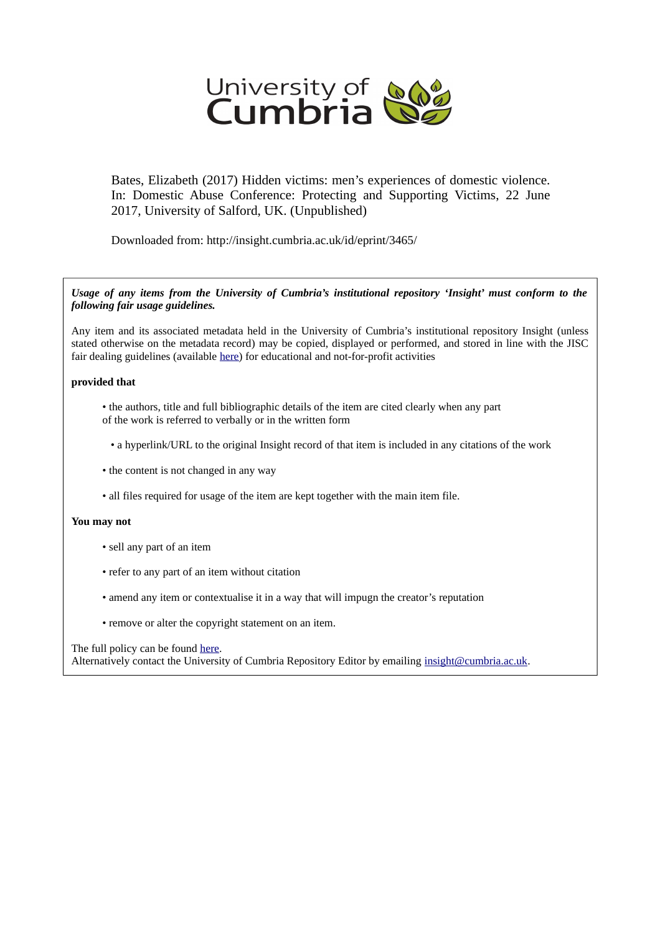

Bates, Elizabeth (2017) Hidden victims: men's experiences of domestic violence. In: Domestic Abuse Conference: Protecting and Supporting Victims, 22 June 2017, University of Salford, UK. (Unpublished)

Downloaded from: http://insight.cumbria.ac.uk/id/eprint/3465/

*Usage of any items from the University of Cumbria's institutional repository 'Insight' must conform to the following fair usage guidelines.*

Any item and its associated metadata held in the University of Cumbria's institutional repository Insight (unless stated otherwise on the metadata record) may be copied, displayed or performed, and stored in line with the JISC fair dealing guidelines (available [here\)](http://www.ukoln.ac.uk/services/elib/papers/pa/fair/) for educational and not-for-profit activities

#### **provided that**

- the authors, title and full bibliographic details of the item are cited clearly when any part of the work is referred to verbally or in the written form
	- a hyperlink/URL to the original Insight record of that item is included in any citations of the work
- the content is not changed in any way
- all files required for usage of the item are kept together with the main item file.

#### **You may not**

- sell any part of an item
- refer to any part of an item without citation
- amend any item or contextualise it in a way that will impugn the creator's reputation
- remove or alter the copyright statement on an item.

#### The full policy can be found [here.](http://insight.cumbria.ac.uk/legal.html#section5)

Alternatively contact the University of Cumbria Repository Editor by emailing [insight@cumbria.ac.uk.](mailto:insight@cumbria.ac.uk)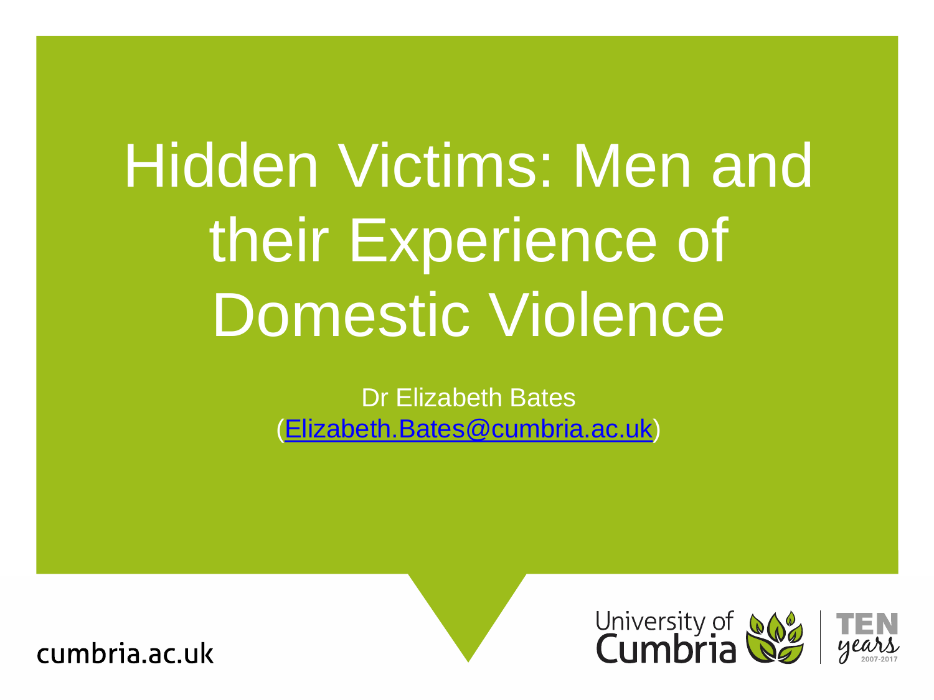# Hidden Victims: Men and their Experience of Domestic Violence

Dr Elizabeth Bates [\(Elizabeth.Bates@cumbria.ac.uk](mailto:Elizabeth.Bates@cumbria.ac.uk))

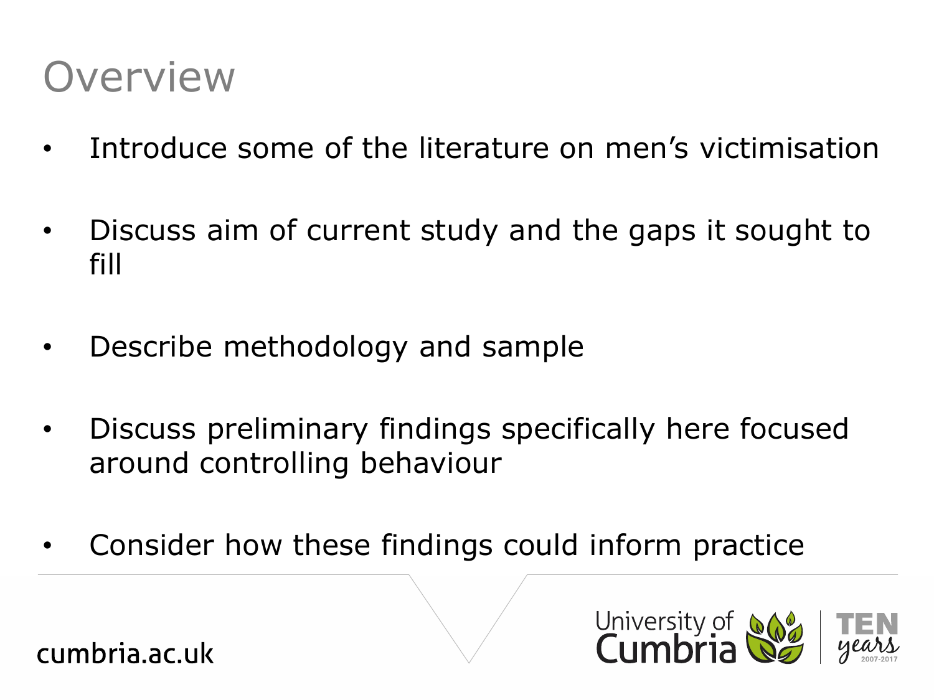#### **Overview**

- Introduce some of the literature on men's victimisation
- Discuss aim of current study and the gaps it sought to fill
- Describe methodology and sample
- Discuss preliminary findings specifically here focused around controlling behaviour
- Consider how these findings could inform practice

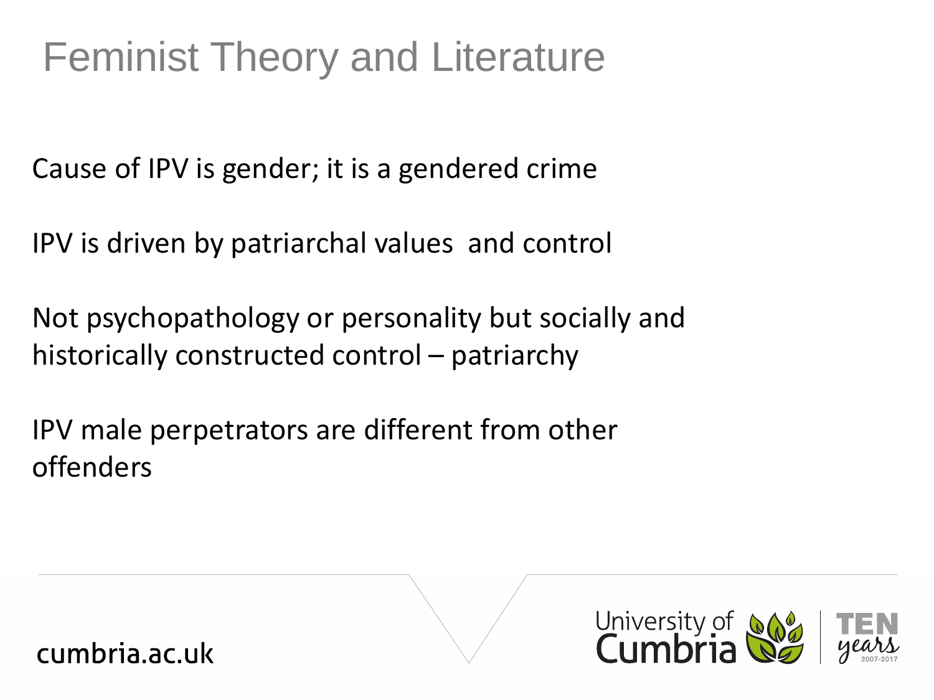#### Feminist Theory and Literature

Cause of IPV is gender; it is a gendered crime

IPV is driven by patriarchal values and control

Not psychopathology or personality but socially and historically constructed control – patriarchy

IPV male perpetrators are different from other offenders

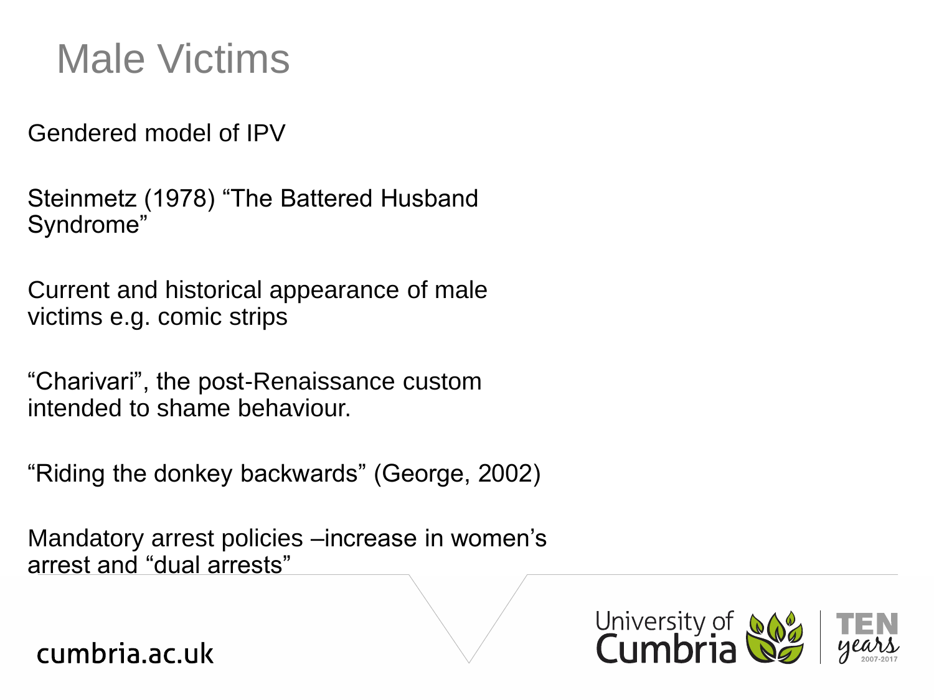#### Male Victims

Gendered model of IPV

Steinmetz (1978) "The Battered Husband Syndrome"

Current and historical appearance of male victims e.g. comic strips

"Charivari", the post-Renaissance custom intended to shame behaviour.

"Riding the donkey backwards" (George, 2002)

Mandatory arrest policies –increase in women's arrest and "dual arrests"

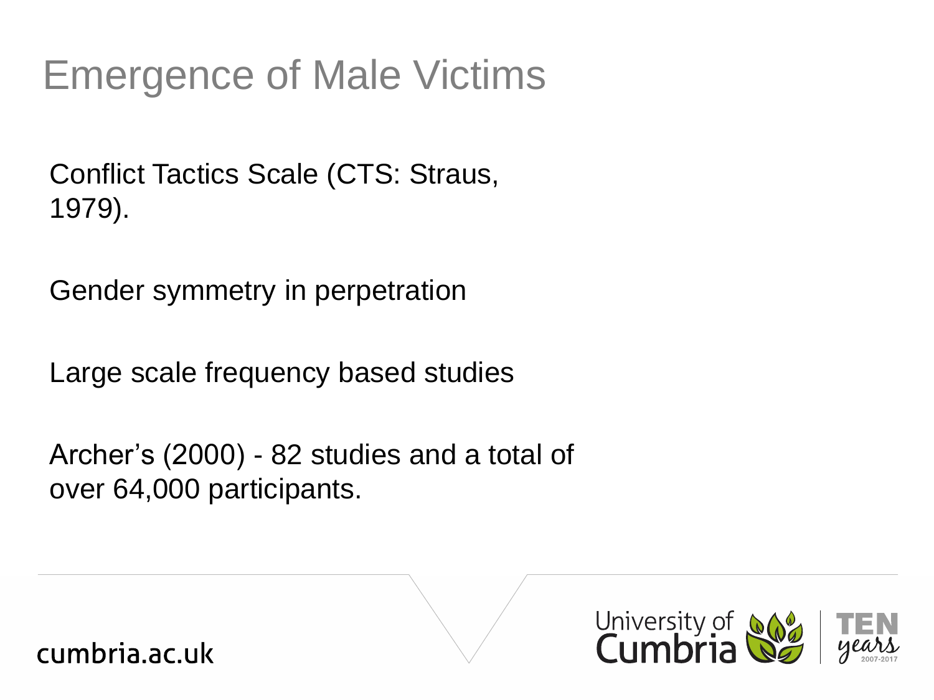#### Emergence of Male Victims

Conflict Tactics Scale (CTS: Straus, 1979).

Gender symmetry in perpetration

Large scale frequency based studies

Archer's (2000) - 82 studies and a total of over 64,000 participants.

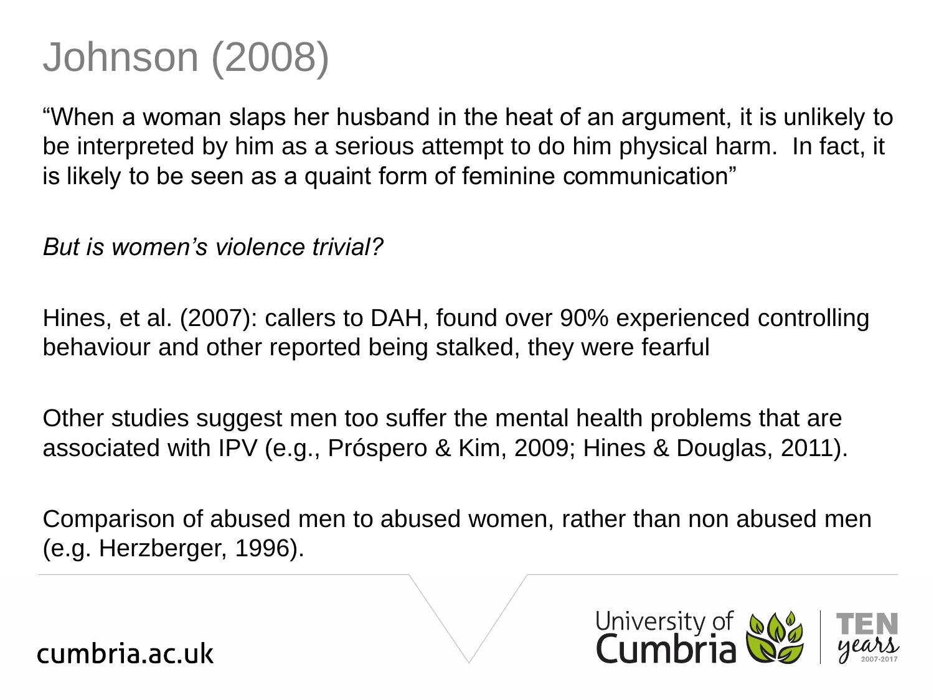#### Johnson (2008)

"When a woman slaps her husband in the heat of an argument, it is unlikely to be interpreted by him as a serious attempt to do him physical harm. In fact, it is likely to be seen as a quaint form of feminine communication"

*But is women's violence trivial?*

Hines, et al. (2007): callers to DAH, found over 90% experienced controlling behaviour and other reported being stalked, they were fearful

Other studies suggest men too suffer the mental health problems that are associated with IPV (e.g., Próspero & Kim, 2009; Hines & Douglas, 2011).

Comparison of abused men to abused women, rather than non abused men (e.g. Herzberger, 1996).

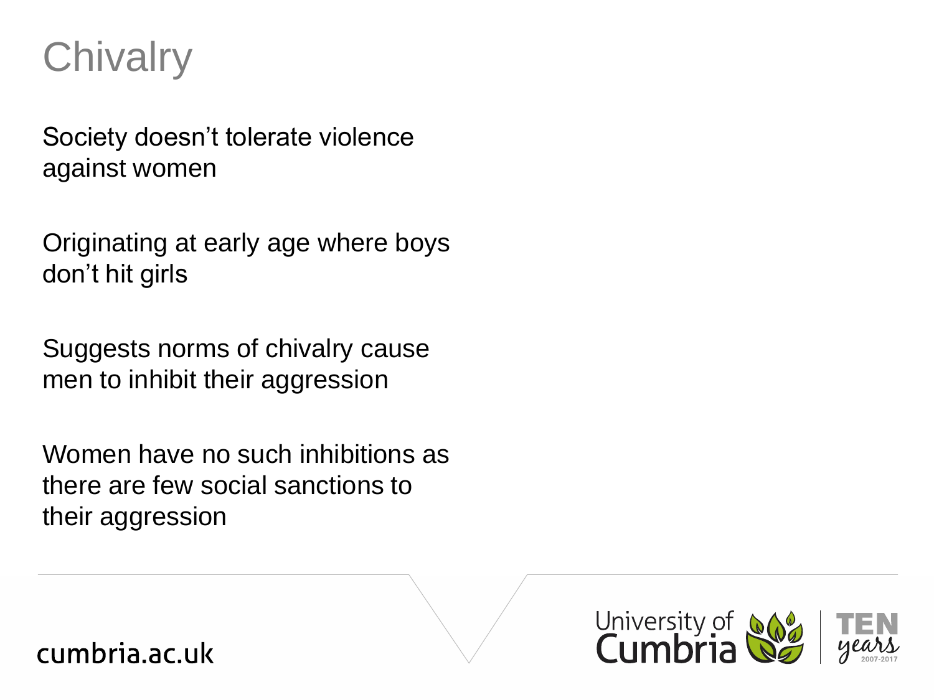#### **Chivalry**

Society doesn't tolerate violence against women

Originating at early age where boys don't hit girls

Suggests norms of chivalry cause men to inhibit their aggression

Women have no such inhibitions as there are few social sanctions to their aggression

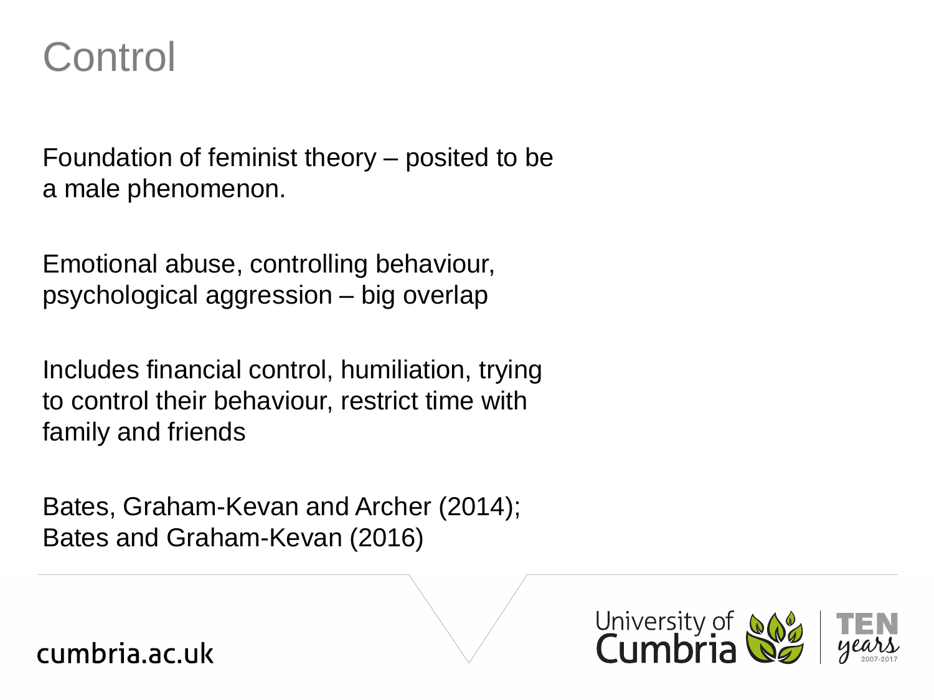#### Control

Foundation of feminist theory – posited to be a male phenomenon.

Emotional abuse, controlling behaviour, psychological aggression – big overlap

Includes financial control, humiliation, trying to control their behaviour, restrict time with family and friends

Bates, Graham-Kevan and Archer (2014); Bates and Graham-Kevan (2016)

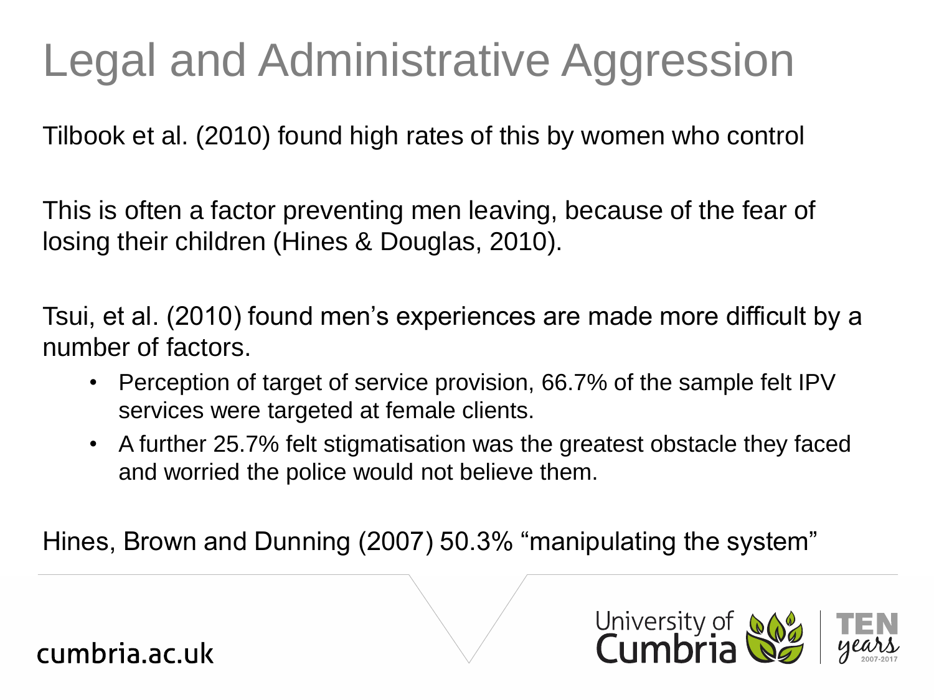# Legal and Administrative Aggression

Tilbook et al. (2010) found high rates of this by women who control

This is often a factor preventing men leaving, because of the fear of losing their children (Hines & Douglas, 2010).

Tsui, et al. (2010) found men's experiences are made more difficult by a number of factors.

- Perception of target of service provision, 66.7% of the sample felt IPV services were targeted at female clients.
- A further 25.7% felt stigmatisation was the greatest obstacle they faced and worried the police would not believe them.

Hines, Brown and Dunning (2007) 50.3% "manipulating the system"

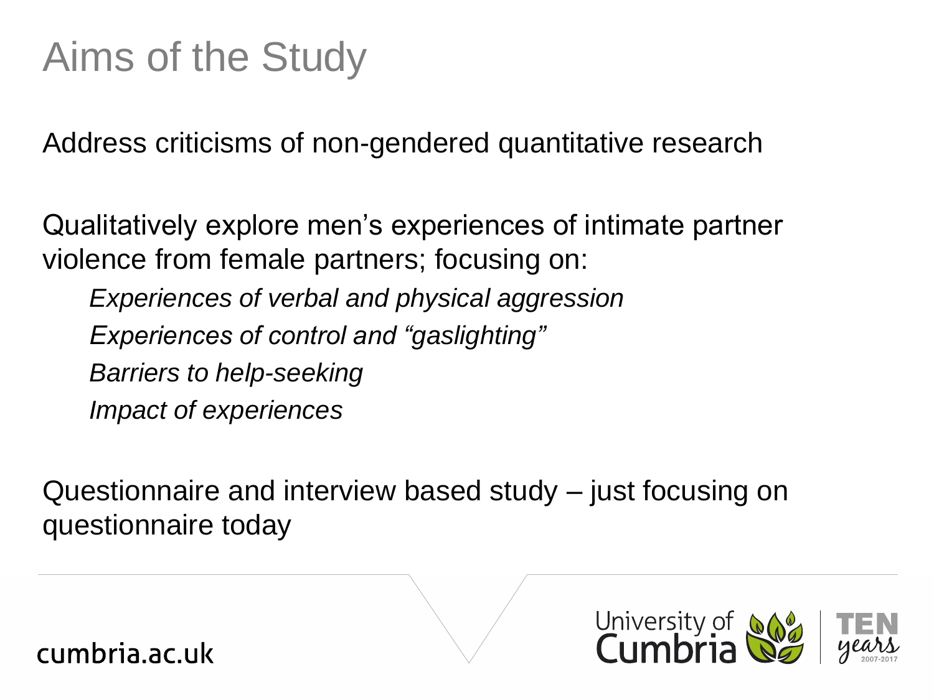#### Aims of the Study

Address criticisms of non-gendered quantitative research

Qualitatively explore men's experiences of intimate partner violence from female partners; focusing on:

- *Experiences of verbal and physical aggression*
- *Experiences of control and "gaslighting"*
- *Barriers to help-seeking*
- *Impact of experiences*

Questionnaire and interview based study – just focusing on questionnaire today

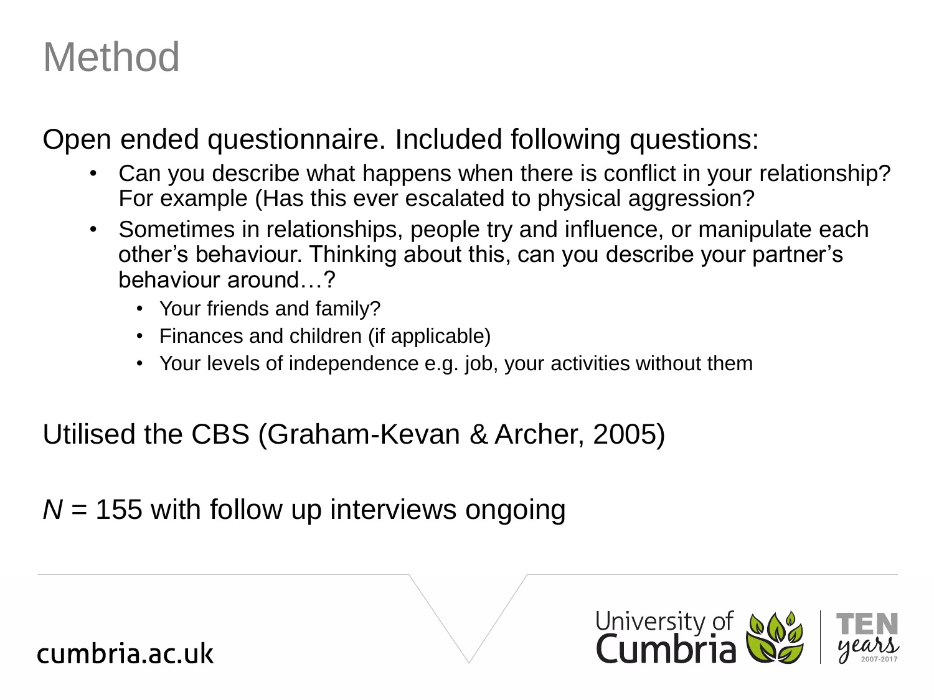#### **Method**

Open ended questionnaire. Included following questions:

- Can you describe what happens when there is conflict in your relationship? For example (Has this ever escalated to physical aggression?
- Sometimes in relationships, people try and influence, or manipulate each other's behaviour. Thinking about this, can you describe your partner's behaviour around…?
	- Your friends and family?
	- Finances and children (if applicable)
	- Your levels of independence e.g. job, your activities without them

Utilised the CBS (Graham-Kevan & Archer, 2005)

*N* = 155 with follow up interviews ongoing

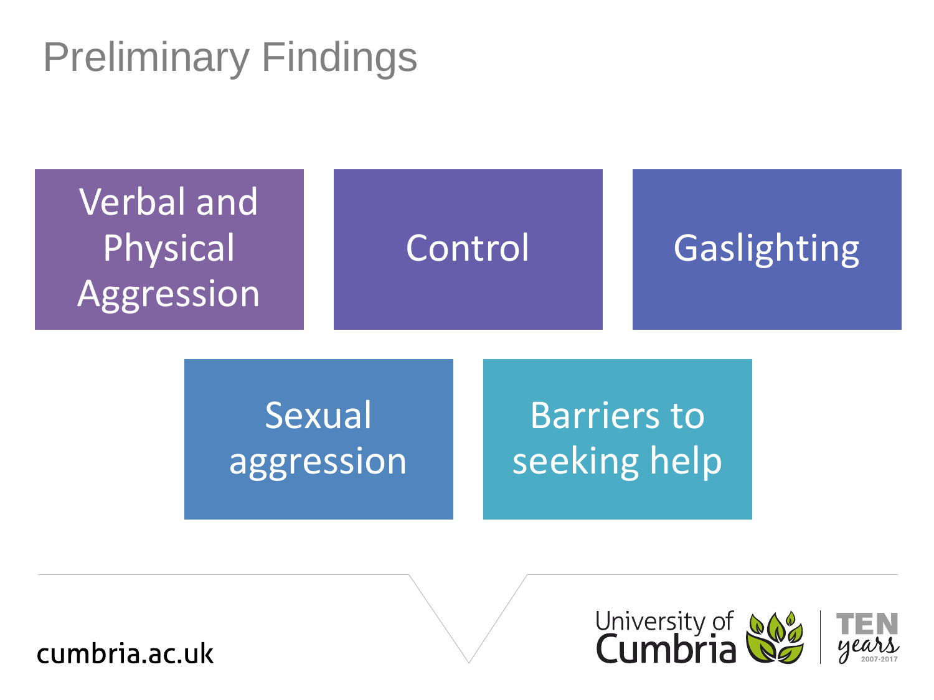### Preliminary Findings



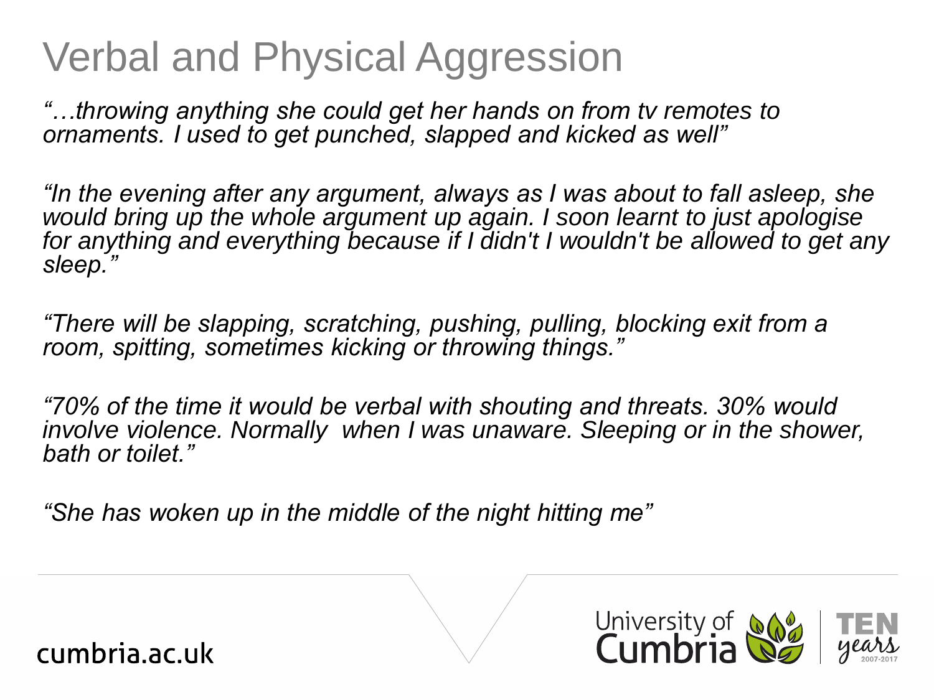### Verbal and Physical Aggression

*"…throwing anything she could get her hands on from tv remotes to ornaments. I used to get punched, slapped and kicked as well"*

*"In the evening after any argument, always as I was about to fall asleep, she*  would bring up the whole argument up again. I soon learnt to just apologise *for anything and everything because if I didn't I wouldn't be allowed to get any sleep."*

*"There will be slapping, scratching, pushing, pulling, blocking exit from a room, spitting, sometimes kicking or throwing things."*

*"70% of the time it would be verbal with shouting and threats. 30% would involve violence. Normally when I was unaware. Sleeping or in the shower, bath or toilet."*

*"She has woken up in the middle of the night hitting me"*

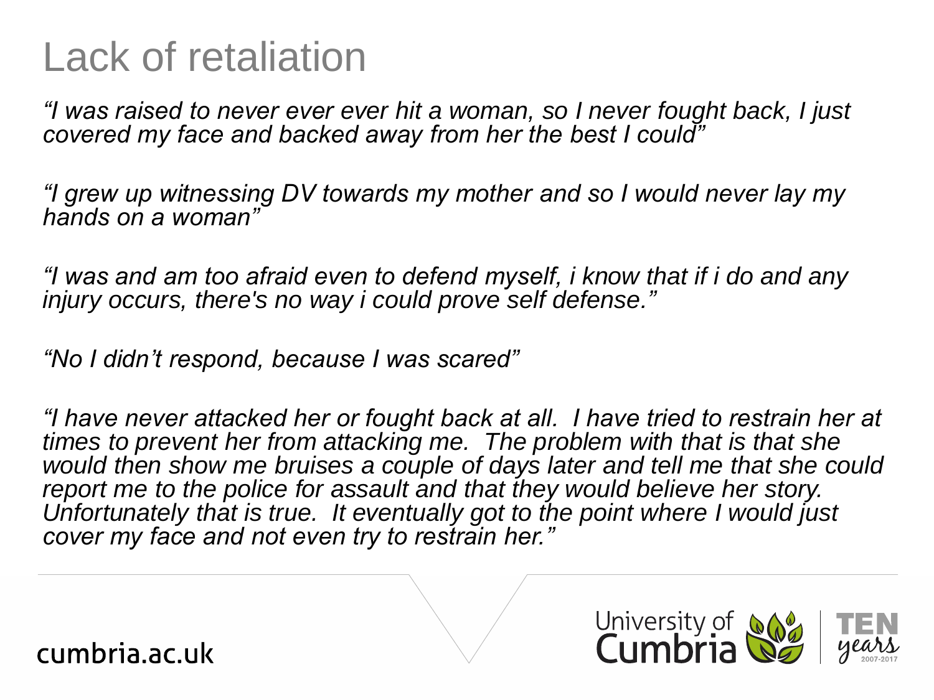#### Lack of retaliation

*"I was raised to never ever ever hit a woman, so I never fought back, I just covered my face and backed away from her the best I could"*

*"I grew up witnessing DV towards my mother and so I would never lay my hands on a woman"*

*"I was and am too afraid even to defend myself, i know that if i do and any injury occurs, there's no way i could prove self defense."*

*"No I didn't respond, because I was scared"*

*"I have never attacked her or fought back at all. I have tried to restrain her at times to prevent her from attacking me. The problem with that is that she would then show me bruises a couple of days later and tell me that she could report me to the police for assault and that they would believe her story. Unfortunately that is true. It eventually got to the point where I would just cover my face and not even try to restrain her."*

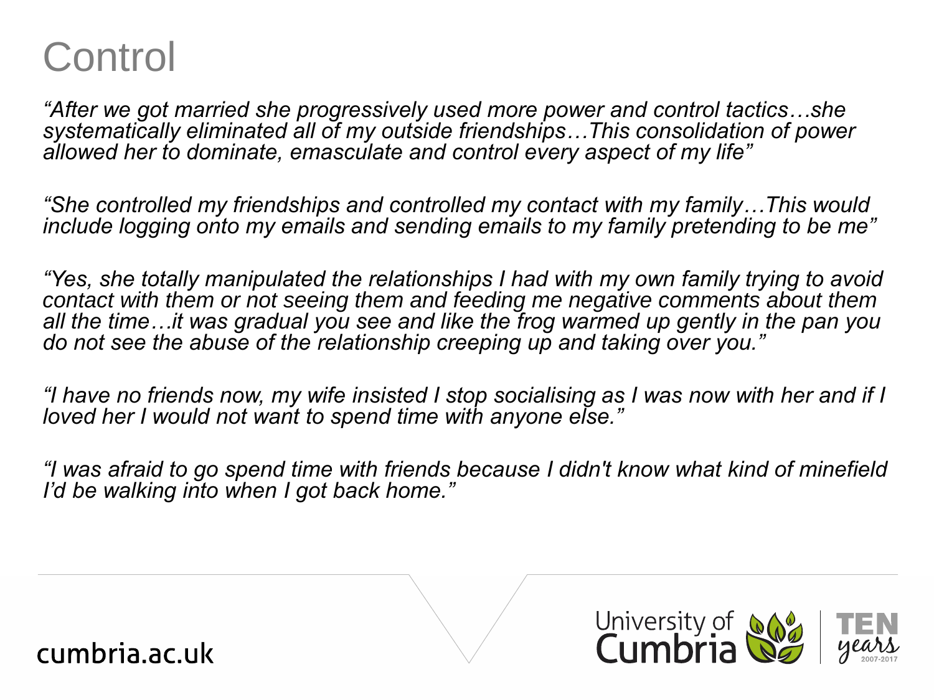#### **Control**

*"After we got married she progressively used more power and control tactics…she systematically eliminated all of my outside friendships…This consolidation of power allowed her to dominate, emasculate and control every aspect of my life"*

*"She controlled my friendships and controlled my contact with my family…This would include logging onto my emails and sending emails to my family pretending to be me"* 

*"Yes, she totally manipulated the relationships I had with my own family trying to avoid contact with them or not seeing them and feeding me negative comments about them all the time…it was gradual you see and like the frog warmed up gently in the pan you do not see the abuse of the relationship creeping up and taking over you."*

*"I have no friends now, my wife insisted I stop socialising as I was now with her and if I loved her I would not want to spend time with anyone else."*

*"I was afraid to go spend time with friends because I didn't know what kind of minefield I'd be walking into when I got back home."*

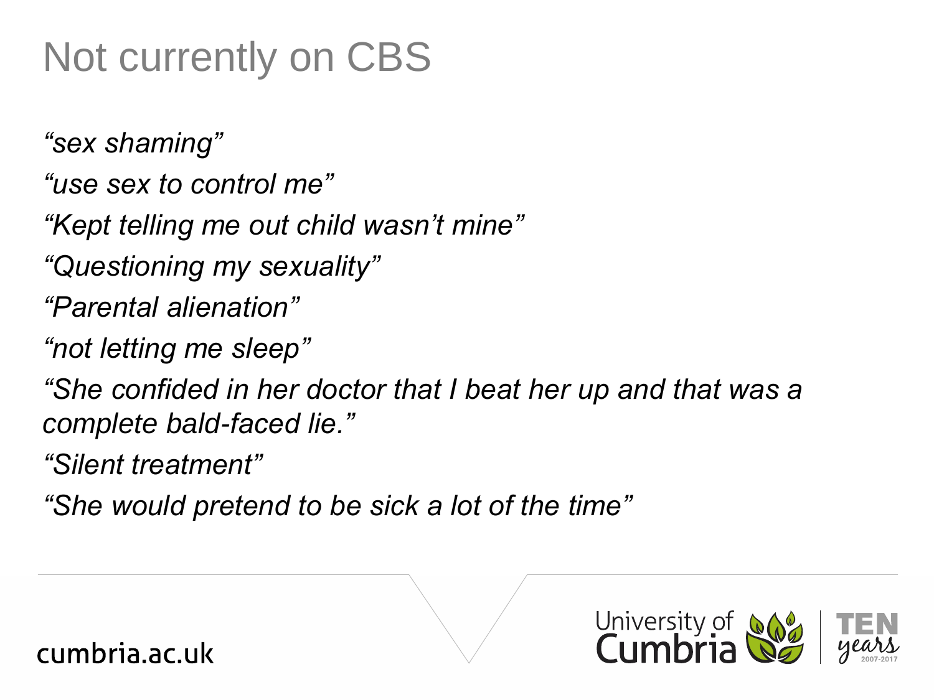#### Not currently on CBS

*"sex shaming" "use sex to control me" "Kept telling me out child wasn't mine" "Questioning my sexuality" "Parental alienation" "not letting me sleep" "She confided in her doctor that I beat her up and that was a complete bald-faced lie."*

*"Silent treatment"*

*"She would pretend to be sick a lot of the time"*

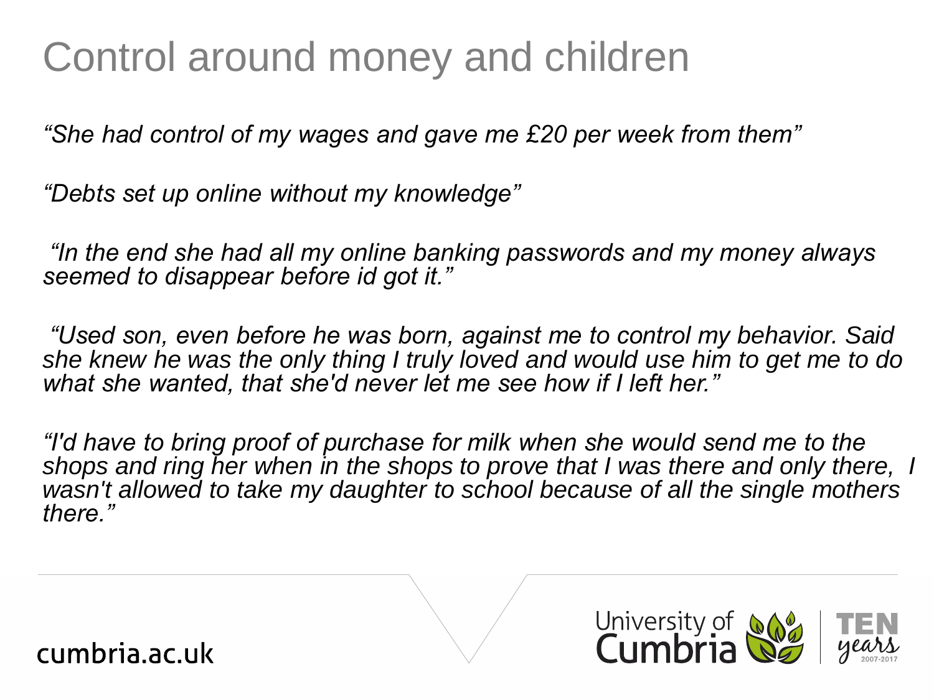#### Control around money and children

*"She had control of my wages and gave me £20 per week from them"*

*"Debts set up online without my knowledge"*

*"In the end she had all my online banking passwords and my money always seemed to disappear before id got it."*

*"Used son, even before he was born, against me to control my behavior. Said she knew he was the only thing I truly loved and would use him to get me to do*  what she wanted, that she'd never let me see how if I left her."

*"I'd have to bring proof of purchase for milk when she would send me to the shops and ring her when in the shops to prove that I was there and only there, I wasn't allowed to take my daughter to school because of all the single mothers there."*

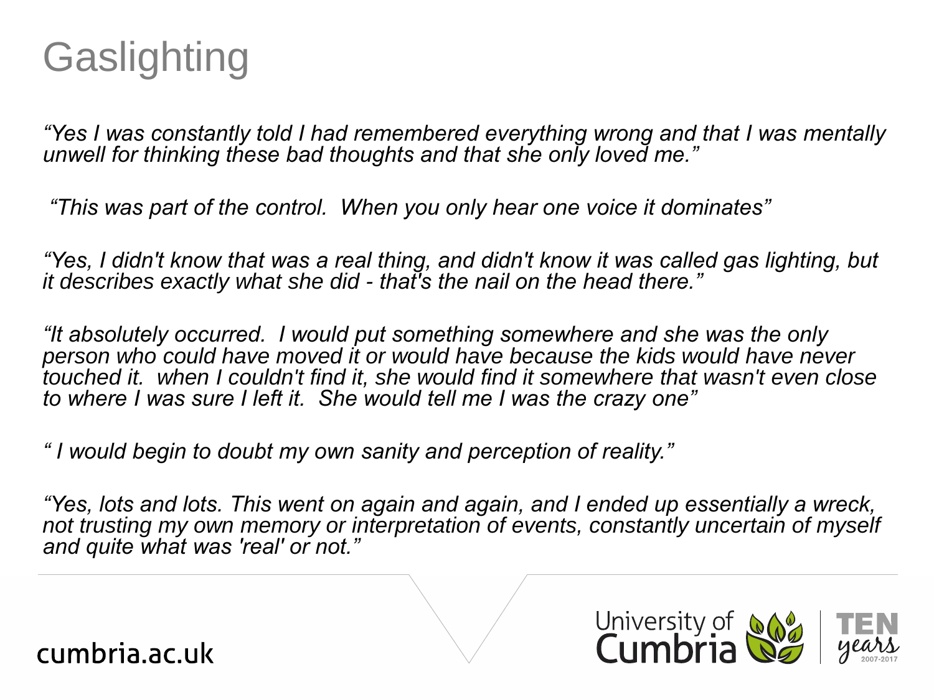

*"Yes I was constantly told I had remembered everything wrong and that I was mentally unwell for thinking these bad thoughts and that she only loved me."*

*"This was part of the control. When you only hear one voice it dominates"*

*"Yes, I didn't know that was a real thing, and didn't know it was called gas lighting, but it describes exactly what she did - that's the nail on the head there."*

*"It absolutely occurred. I would put something somewhere and she was the only person who could have moved it or would have because the kids would have never touched it. when I couldn't find it, she would find it somewhere that wasn't even close to where I was sure I left it. She would tell me I was the crazy one"*

*" I would begin to doubt my own sanity and perception of reality."*

*"Yes, lots and lots. This went on again and again, and I ended up essentially a wreck, not trusting my own memory or interpretation of events, constantly uncertain of myself and quite what was 'real' or not."*

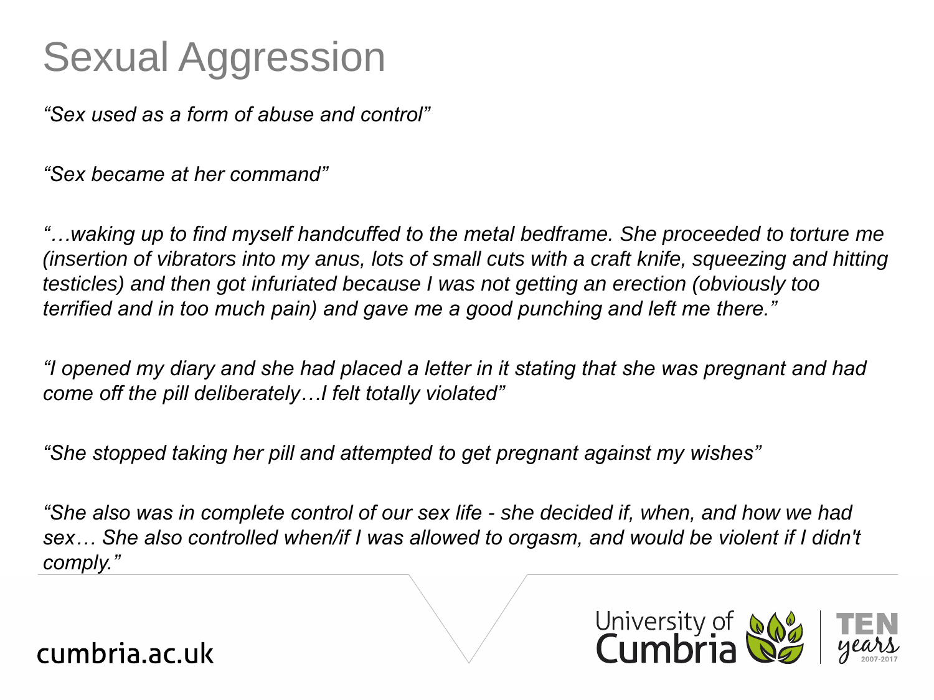#### Sexual Aggression

*"Sex used as a form of abuse and control"*

*"Sex became at her command"*

*"…waking up to find myself handcuffed to the metal bedframe. She proceeded to torture me (insertion of vibrators into my anus, lots of small cuts with a craft knife, squeezing and hitting testicles) and then got infuriated because I was not getting an erection (obviously too terrified and in too much pain) and gave me a good punching and left me there."*

*"I opened my diary and she had placed a letter in it stating that she was pregnant and had come off the pill deliberately…I felt totally violated"*

*"She stopped taking her pill and attempted to get pregnant against my wishes"*

*"She also was in complete control of our sex life - she decided if, when, and how we had*  sex... She also controlled when/if I was allowed to orgasm, and would be violent if I didn't *comply."*

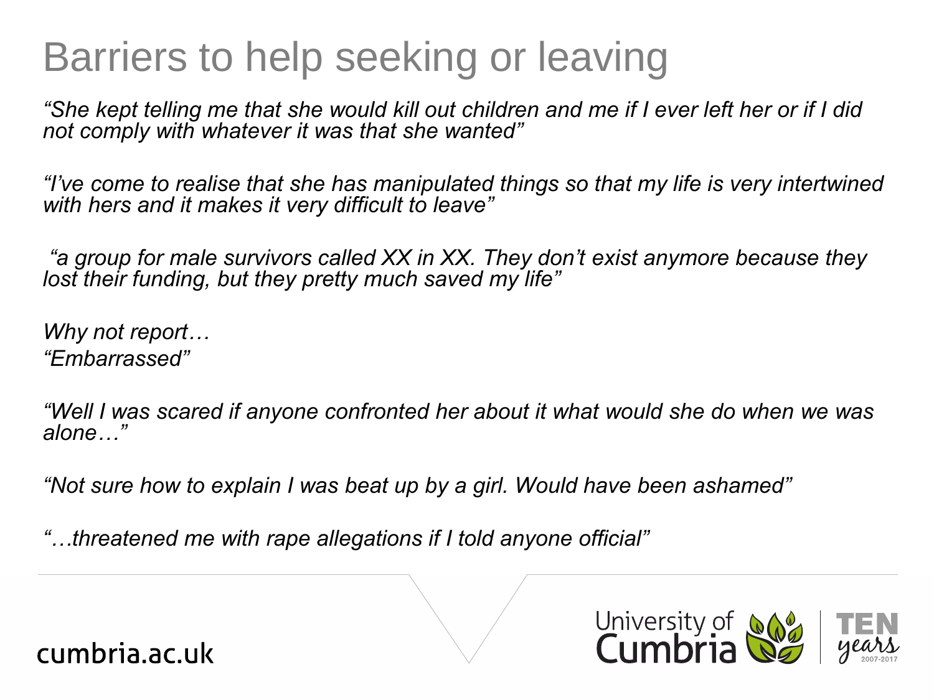#### Barriers to help seeking or leaving

*"She kept telling me that she would kill out children and me if I ever left her or if I did not comply with whatever it was that she wanted"*

*"I've come to realise that she has manipulated things so that my life is very intertwined with hers and it makes it very difficult to leave"*

*"a group for male survivors called XX in XX. They don't exist anymore because they lost their funding, but they pretty much saved my life"*

*Why not report… "Embarrassed"*

*"Well I was scared if anyone confronted her about it what would she do when we was alone…"*

*"Not sure how to explain I was beat up by a girl. Would have been ashamed"*

*"…threatened me with rape allegations if I told anyone official"*

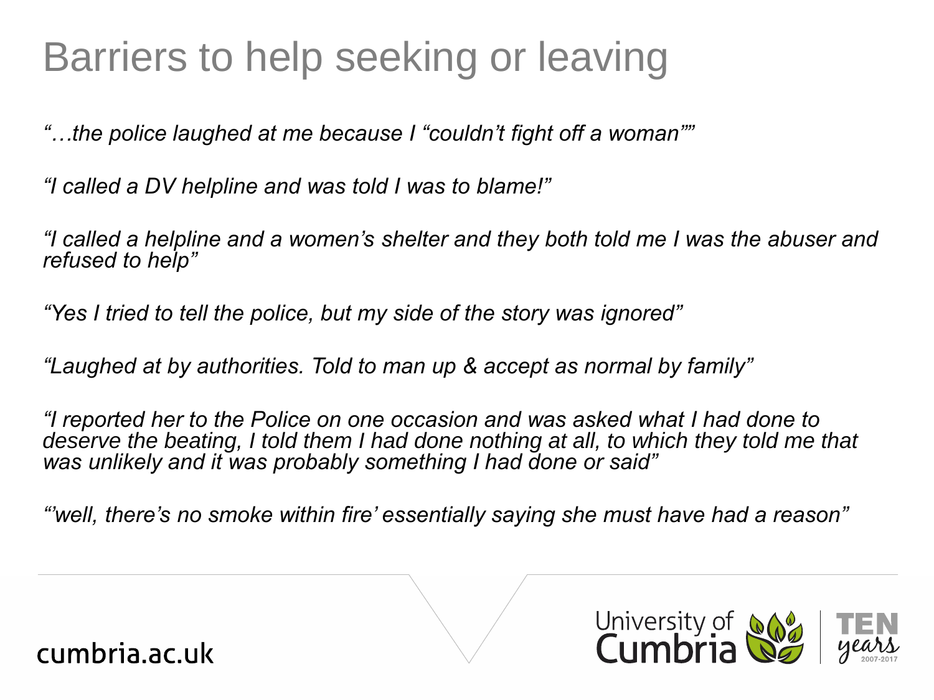#### Barriers to help seeking or leaving

*"…the police laughed at me because I "couldn't fight off a woman""* 

*"I called a DV helpline and was told I was to blame!"*

*"I called a helpline and a women's shelter and they both told me I was the abuser and refused to help"*

*"Yes I tried to tell the police, but my side of the story was ignored"*

*"Laughed at by authorities. Told to man up & accept as normal by family"*

*"I reported her to the Police on one occasion and was asked what I had done to deserve the beating, I told them I had done nothing at all, to which they told me that was unlikely and it was probably something I had done or said"*

*"'well, there's no smoke within fire' essentially saying she must have had a reason"*

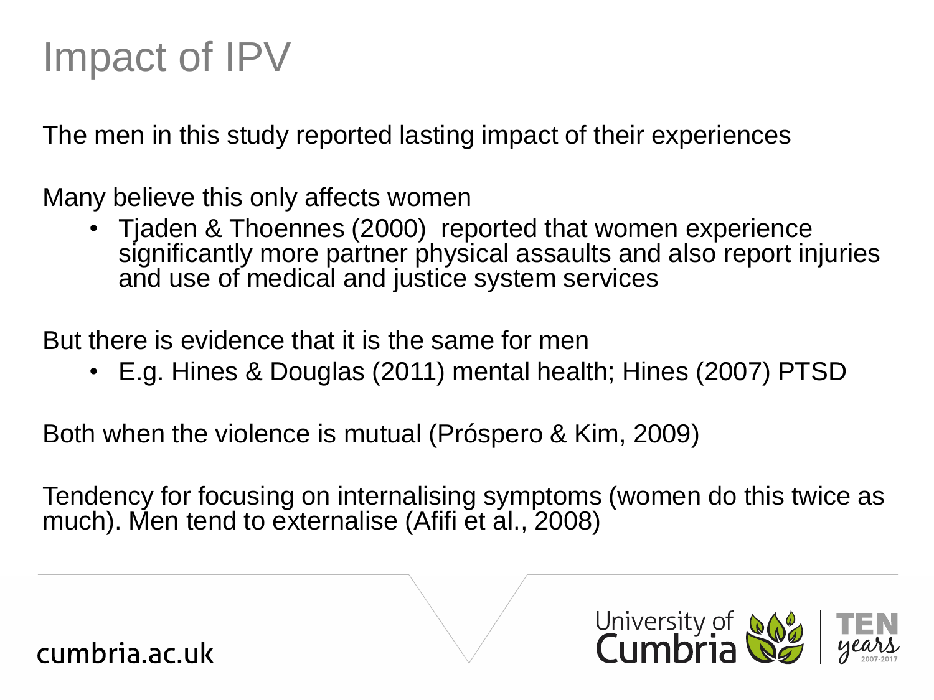### Impact of IPV

The men in this study reported lasting impact of their experiences

Many believe this only affects women

• Tjaden & Thoennes (2000) reported that women experience significantly more partner physical assaults and also report injuries and use of medical and justice system services

But there is evidence that it is the same for men

• E.g. Hines & Douglas (2011) mental health; Hines (2007) PTSD

Both when the violence is mutual (Próspero & Kim, 2009)

Tendency for focusing on internalising symptoms (women do this twice as much). Men tend to externalise (Afifi et al., 2008)

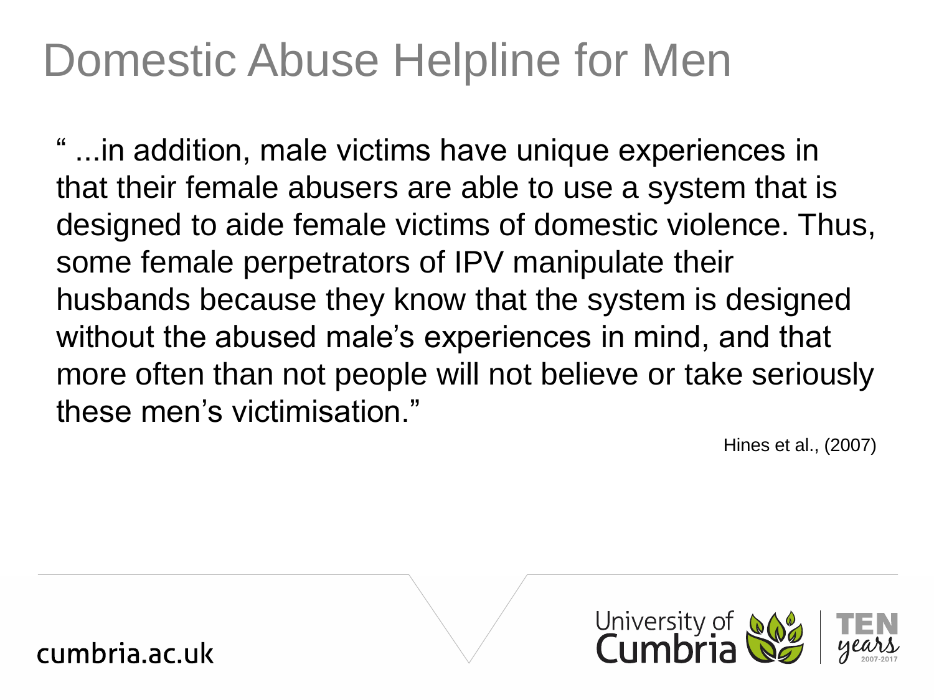## Domestic Abuse Helpline for Men

" ...in addition, male victims have unique experiences in that their female abusers are able to use a system that is designed to aide female victims of domestic violence. Thus, some female perpetrators of IPV manipulate their husbands because they know that the system is designed without the abused male's experiences in mind, and that more often than not people will not believe or take seriously these men's victimisation."

Hines et al., (2007)

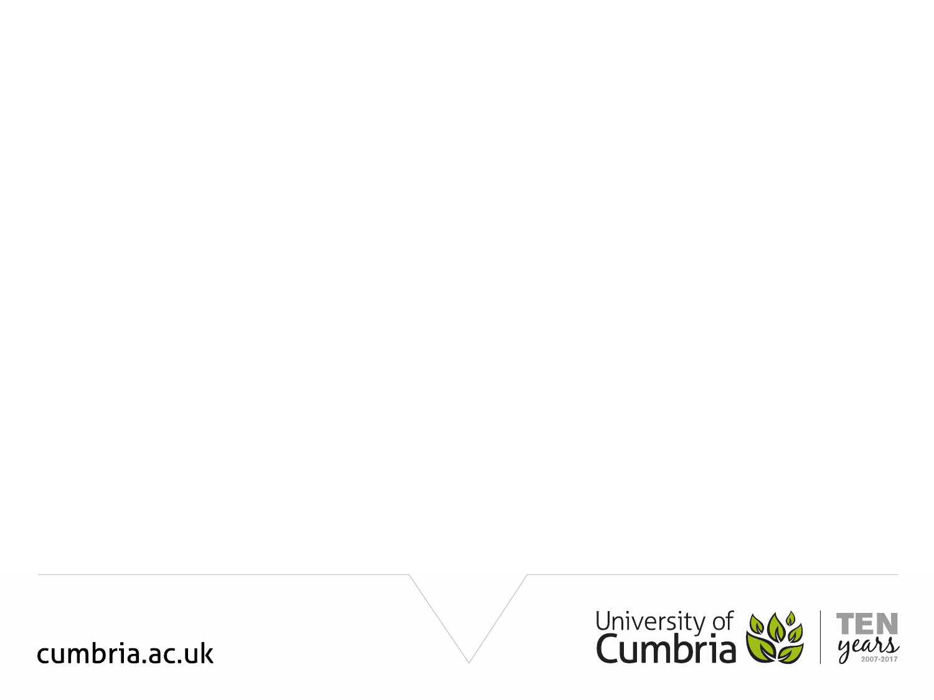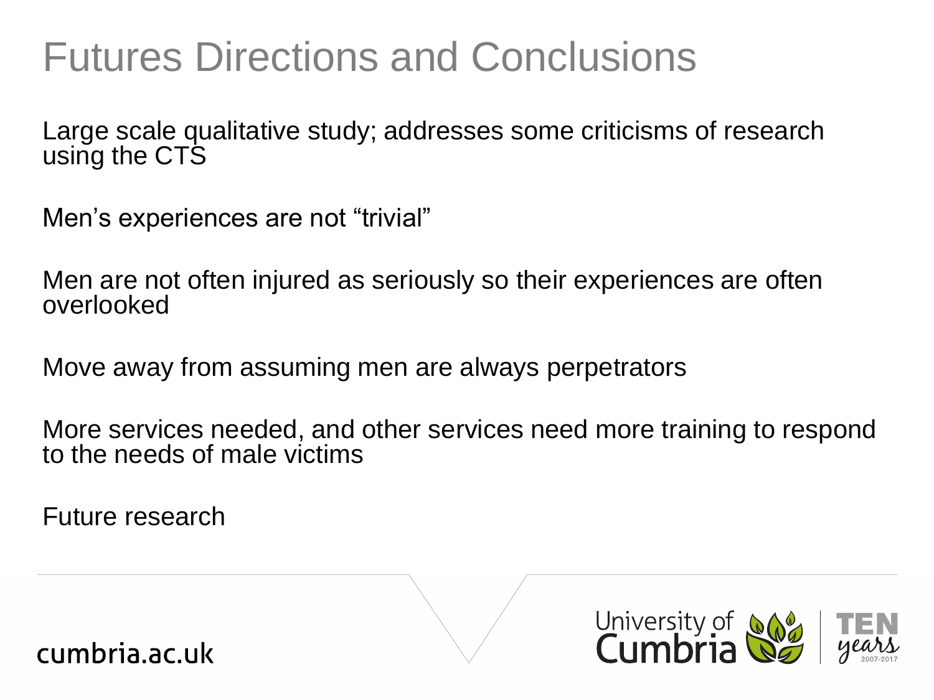#### Futures Directions and Conclusions

Large scale qualitative study; addresses some criticisms of research using the CTS

Men's experiences are not "trivial"

Men are not often injured as seriously so their experiences are often overlooked

Move away from assuming men are always perpetrators

More services needed, and other services need more training to respond to the needs of male victims

Future research